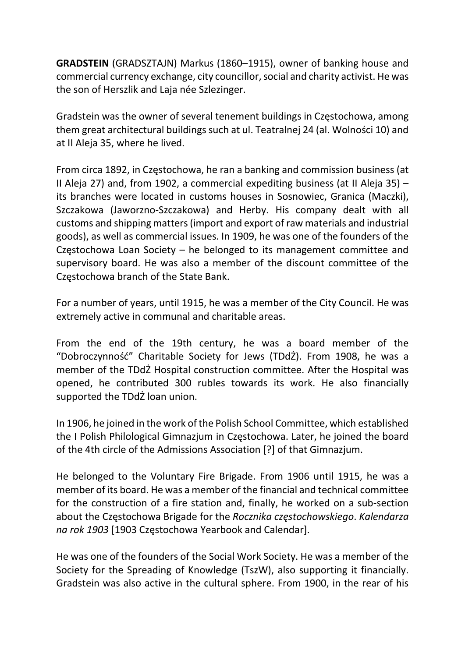GRADSTEIN (GRADSZTAJN) Markus (1860–1915), owner of banking house and commercial currency exchange, city councillor, social and charity activist. He was the son of Herszlik and Laja née Szlezinger.

Gradstein was the owner of several tenement buildings in Częstochowa, among them great architectural buildings such at ul. Teatralnej 24 (al. Wolności 10) and at II Aleja 35, where he lived.

From circa 1892, in Częstochowa, he ran a banking and commission business (at II Aleja 27) and, from 1902, a commercial expediting business (at II Aleja 35)  $$ its branches were located in customs houses in Sosnowiec, Granica (Maczki), Szczakowa (Jaworzno-Szczakowa) and Herby. His company dealt with all customs and shipping matters (import and export of raw materials and industrial goods), as well as commercial issues. In 1909, he was one of the founders of the Częstochowa Loan Society – he belonged to its management committee and supervisory board. He was also a member of the discount committee of the Częstochowa branch of the State Bank.

For a number of years, until 1915, he was a member of the City Council. He was extremely active in communal and charitable areas.

From the end of the 19th century, he was a board member of the "Dobroczynność" Charitable Society for Jews (TDdŻ). From 1908, he was a member of the TDdŻ Hospital construction committee. After the Hospital was opened, he contributed 300 rubles towards its work. He also financially supported the TDdŻ loan union.

In 1906, he joined in the work of the Polish School Committee, which established the I Polish Philological Gimnazjum in Częstochowa. Later, he joined the board of the 4th circle of the Admissions Association [?] of that Gimnazjum.

He belonged to the Voluntary Fire Brigade. From 1906 until 1915, he was a member of its board. He was a member of the financial and technical committee for the construction of a fire station and, finally, he worked on a sub-section about the Częstochowa Brigade for the Rocznika częstochowskiego. Kalendarza na rok 1903 [1903 Częstochowa Yearbook and Calendar].

He was one of the founders of the Social Work Society. He was a member of the Society for the Spreading of Knowledge (TszW), also supporting it financially. Gradstein was also active in the cultural sphere. From 1900, in the rear of his